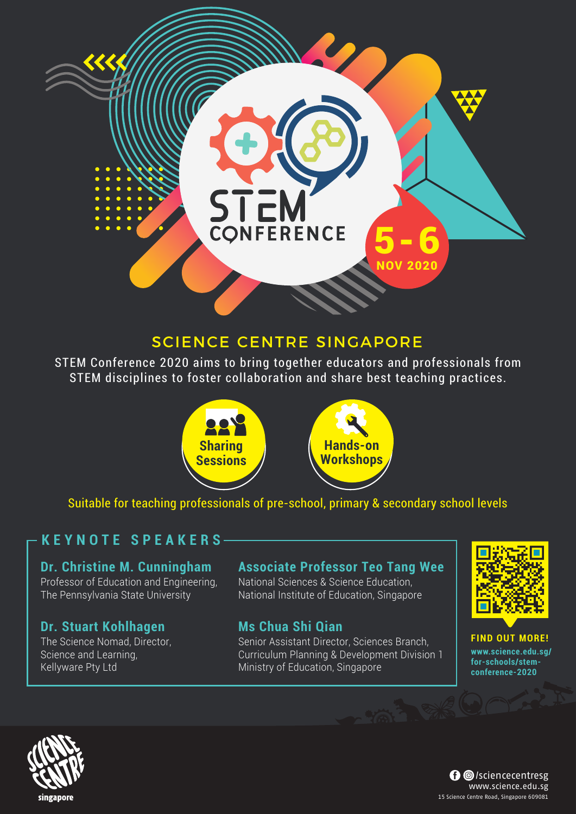## SCIENCE CENTRE SINGAPORE

STEM

STEM Conference 2020 aims to bring together educators and professionals from STEM disciplines to foster collaboration and share best teaching practices.



Suitable for teaching professionals of pre-school, primary & secondary school levels

### **KEYNOTE SPEAKERS**

#### **Dr. Christine M. Cunningham** Professor of Education and Engineering, The Pennsylvania State University

### **Dr. Stuart Kohlhagen**

The Science Nomad, Director, Science and Learning, Kellyware Pty Ltd

### **Associate Professor Teo Tang Wee**

5-6

NOV 2020

National Sciences & Science Education, National Institute of Education, Singapore

### **Ms Chua Shi Qian**

Senior Assistant Director, Sciences Branch, Curriculum Planning & Development Division 1 Ministry of Education, Singapore



**FIND OUT MORE! www.science.edu.sg/ for-schools/stemconference-2020**





singapore